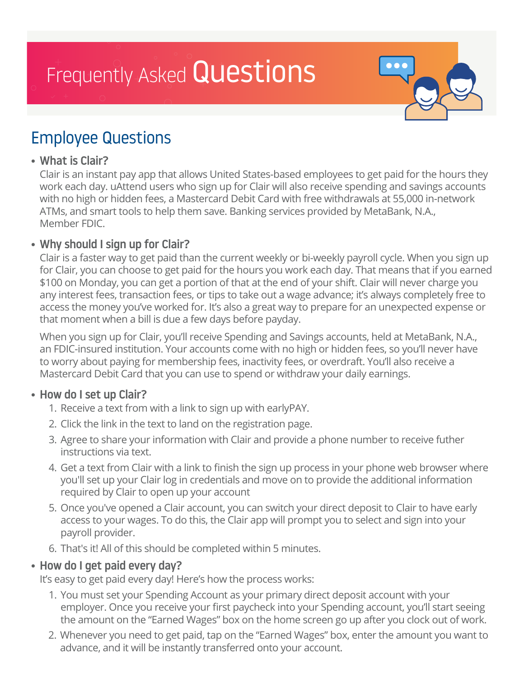# Frequently Asked Questions



# Employee Questions

# • What is Clair?

 Clair is an instant pay app that allows United States-based employees to get paid for the hours they work each day. uAttend users who sign up for Clair will also receive spending and savings accounts with no high or hidden fees, a Mastercard Debit Card with free withdrawals at 55,000 in-network ATMs, and smart tools to help them save. Banking services provided by MetaBank, N.A., Member FDIC.

# • Why should I sign up for Clair?

 Clair is a faster way to get paid than the current weekly or bi-weekly payroll cycle. When you sign up for Clair, you can choose to get paid for the hours you work each day. That means that if you earned \$100 on Monday, you can get a portion of that at the end of your shift. Clair will never charge you any interest fees, transaction fees, or tips to take out a wage advance; it's always completely free to access the money you've worked for. It's also a great way to prepare for an unexpected expense or that moment when a bill is due a few days before payday.

 When you sign up for Clair, you'll receive Spending and Savings accounts, held at MetaBank, N.A., an FDIC-insured institution. Your accounts come with no high or hidden fees, so you'll never have to worry about paying for membership fees, inactivity fees, or overdraft. You'll also receive a Mastercard Debit Card that you can use to spend or withdraw your daily earnings.

# • How do I set up Clair?

- 1. Receive a text from with a link to sign up with earlyPAY.
- 2. Click the link in the text to land on the registration page.
- 3. Agree to share your information with Clair and provide a phone number to receive futher instructions via text.
- 4. Get a text from Clair with a link to finish the sign up process in your phone web browser where you'll set up your Clair log in credentials and move on to provide the additional information required by Clair to open up your account
- 5. Once you've opened a Clair account, you can switch your direct deposit to Clair to have early access to your wages. To do this, the Clair app will prompt you to select and sign into your payroll provider.
- 6. That's it! All of this should be completed within 5 minutes.

# • How do I get paid every day?

It's easy to get paid every day! Here's how the process works:

- 1. You must set your Spending Account as your primary direct deposit account with your employer. Once you receive your first paycheck into your Spending account, you'll start seeing the amount on the "Earned Wages" box on the home screen go up after you clock out of work.
- 2. Whenever you need to get paid, tap on the "Earned Wages" box, enter the amount you want to advance, and it will be instantly transferred onto your account.